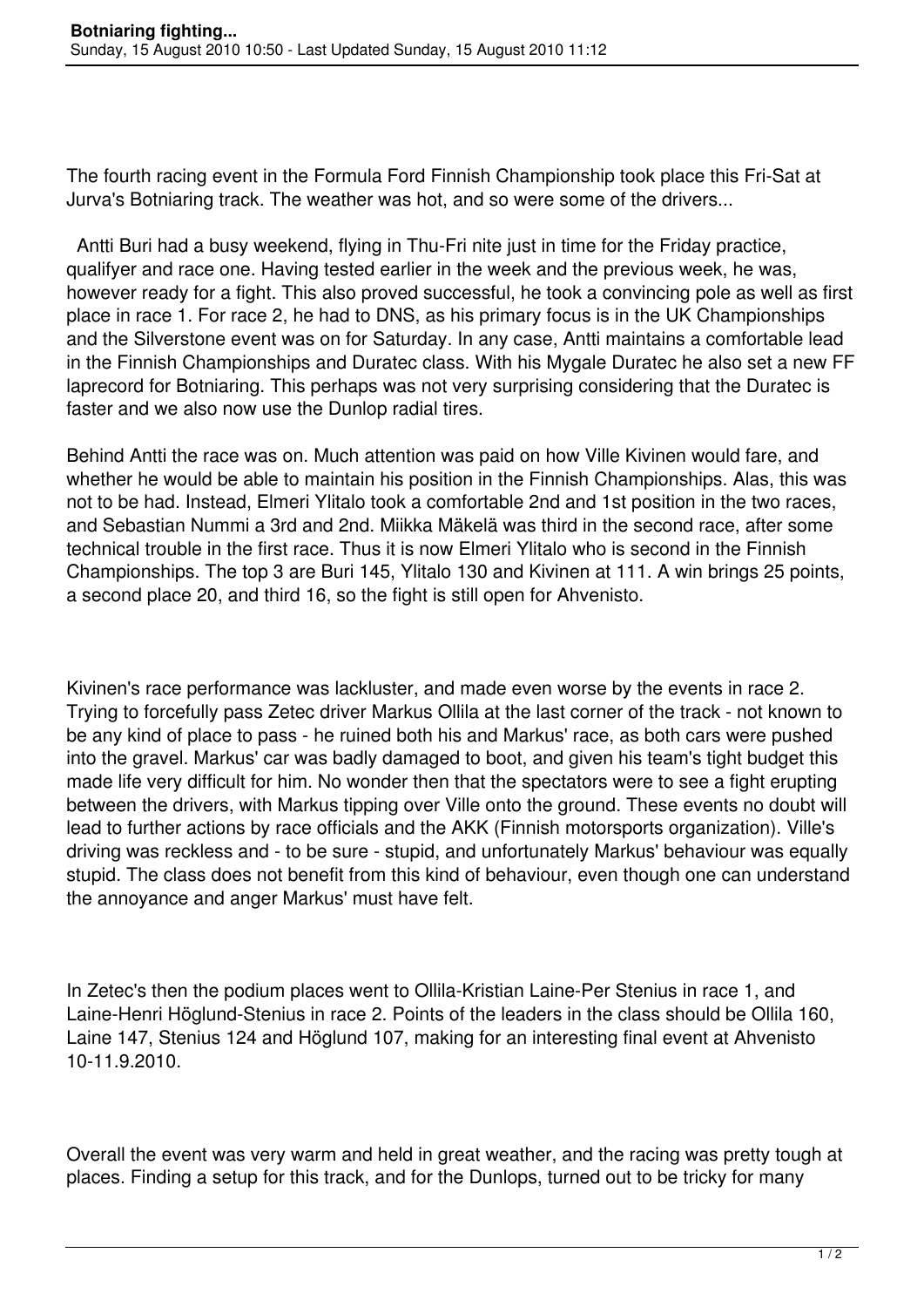The fourth racing event in the Formula Ford Finnish Championship took place this Fri-Sat at Jurva's Botniaring track. The weather was hot, and so were some of the drivers...

 Antti Buri had a busy weekend, flying in Thu-Fri nite just in time for the Friday practice, qualifyer and race one. Having tested earlier in the week and the previous week, he was, however ready for a fight. This also proved successful, he took a convincing pole as well as first place in race 1. For race 2, he had to DNS, as his primary focus is in the UK Championships and the Silverstone event was on for Saturday. In any case, Antti maintains a comfortable lead in the Finnish Championships and Duratec class. With his Mygale Duratec he also set a new FF laprecord for Botniaring. This perhaps was not very surprising considering that the Duratec is faster and we also now use the Dunlop radial tires.

Behind Antti the race was on. Much attention was paid on how Ville Kivinen would fare, and whether he would be able to maintain his position in the Finnish Championships. Alas, this was not to be had. Instead, Elmeri Ylitalo took a comfortable 2nd and 1st position in the two races, and Sebastian Nummi a 3rd and 2nd. Miikka Mäkelä was third in the second race, after some technical trouble in the first race. Thus it is now Elmeri Ylitalo who is second in the Finnish Championships. The top 3 are Buri 145, Ylitalo 130 and Kivinen at 111. A win brings 25 points, a second place 20, and third 16, so the fight is still open for Ahvenisto.

Kivinen's race performance was lackluster, and made even worse by the events in race 2. Trying to forcefully pass Zetec driver Markus Ollila at the last corner of the track - not known to be any kind of place to pass - he ruined both his and Markus' race, as both cars were pushed into the gravel. Markus' car was badly damaged to boot, and given his team's tight budget this made life very difficult for him. No wonder then that the spectators were to see a fight erupting between the drivers, with Markus tipping over Ville onto the ground. These events no doubt will lead to further actions by race officials and the AKK (Finnish motorsports organization). Ville's driving was reckless and - to be sure - stupid, and unfortunately Markus' behaviour was equally stupid. The class does not benefit from this kind of behaviour, even though one can understand the annoyance and anger Markus' must have felt.

In Zetec's then the podium places went to Ollila-Kristian Laine-Per Stenius in race 1, and Laine-Henri Höglund-Stenius in race 2. Points of the leaders in the class should be Ollila 160, Laine 147, Stenius 124 and Höglund 107, making for an interesting final event at Ahvenisto 10-11.9.2010.

Overall the event was very warm and held in great weather, and the racing was pretty tough at places. Finding a setup for this track, and for the Dunlops, turned out to be tricky for many